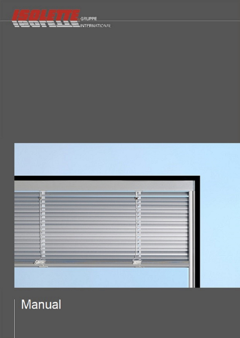



# Manual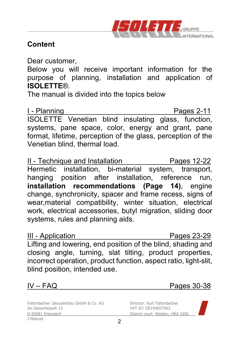

### **Content**

Dear customer,

Below you will receive important information for the purpose of planning, installation and application of **ISOLETTE**®.

The manual is divided into the topics below

I - Planning **Pages 2-11** ISOLETTE Venetian blind insulating glass, function, systems, pane space, color, energy and grant, pane format, lifetime, perception of the glass, perception of the Venetian blind, thermal load.

II - Technique and Installation Pages 12-22 Hermetic installation, bi-material system, transport, hanging position after installation, reference run, **installation recommendations (Page 14)**, engine change, synchronicity, spacer and frame recess, signs of wear,material compatibility, winter situation, electrical work, electrical accessories, butyl migration, sliding door systems, rules and planning aids.

III - Application Pages 23-29 Lifting and lowering, end position of the blind, shading and closing angle, turning, slat tilting, product properties, incorrect operation, product function, aspect ratio, light-slit, blind position, intended use.

IV – FAQ Pages 30-38

Faltenbacher Jalousienbau GmbH & Co. KG Director: Kurt Faltenbacher<br>Im Gewerbenark 15 D-92681 Erbendorf District court Weiden, HRA 1656 \_\_\_\_\_\_\_\_\_\_\_\_\_\_\_\_\_\_\_\_\_\_\_\_\_\_\_\_\_\_\_\_\_\_\_\_\_\_\_\_\_\_\_\_\_\_\_ I-Manual

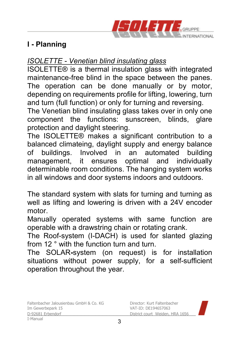

#### *ISOLETTE - Venetian blind insulating glass*

ISOLETTE® is a thermal insulation glass with integrated maintenance-free blind in the space between the panes. The operation can be done manually or by motor, depending on requirements profile for lifting, lowering, turn and turn (full function) or only for turning and reversing.

The Venetian blind insulating glass takes over in only one component the functions: sunscreen, blinds, glare protection and daylight steering.

The ISOLETTE® makes a significant contribution to a balanced climateing, daylight supply and energy balance of buildings. Involved in an automated building management, it ensures optimal and individually determinable room conditions. The hanging system works in all windows and door systems indoors and outdoors.

The standard system with slats for turning and turning as well as lifting and lowering is driven with a 24V encoder motor.

Manually operated systems with same function are operable with a drawstring chain or rotating crank.

The Roof-system (I-DACH) is used for slanted glazing from 12 ° with the function turn and turn.

The SOLAR**-**system (on request) is for installation situations without power supply, for a self-sufficient operation throughout the year.

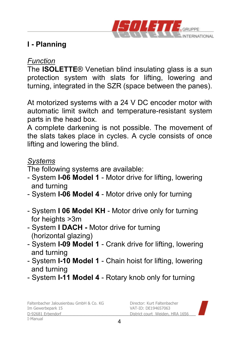

#### *Function*

The **ISOLETTE**® Venetian blind insulating glass is a sun protection system with slats for lifting, lowering and turning, integrated in the SZR (space between the panes).

At motorized systems with a 24 V DC encoder motor with automatic limit switch and temperature-resistant system parts in the head box.

A complete darkening is not possible. The movement of the slats takes place in cycles. A cycle consists of once lifting and lowering the blind.

#### *Systems*

The following systems are available:

- System **I-06 Model 1** Motor drive for lifting, lowering and turning
- System **I-06 Model 4** Motor drive only for turning
- System **I 06 Model KH** Motor drive only for turning for heights >3m
- System **I DACH -** Motor drive for turning (horizontal glazing)
- System **I-09 Model 1** Crank drive for lifting, lowering and turning
- System **I-10 Model 1** Chain hoist for lifting, lowering and turning
- System **I-11 Model 4**  Rotary knob only for turning

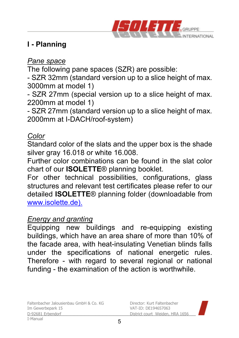

#### *Pane space*

The following pane spaces (SZR) are possible:

- SZR 32mm (standard version up to a slice height of max. 3000mm at model 1)

- SZR 27mm (special version up to a slice height of max. 2200mm at model 1)

- SZR 27mm (standard version up to a slice height of max. 2000mm at I-DACH/roof-system)

### *Color*

Standard color of the slats and the upper box is the shade silver gray 16.018 or white 16.008.

Further color combinations can be found in the slat color chart of our **ISOLETTE**® planning booklet.

For other technical possibilities, configurations, glass structures and relevant test certificates please refer to our detailed **ISOLETTE**® planning folder (downloadable from www.isolette.de).

#### *Energy and granting*

Equipping new buildings and re-equipping existing buildings, which have an area share of more than 10% of the facade area, with heat-insulating Venetian blinds falls under the specifications of national energetic rules. Therefore - with regard to several regional or national funding - the examination of the action is worthwhile.

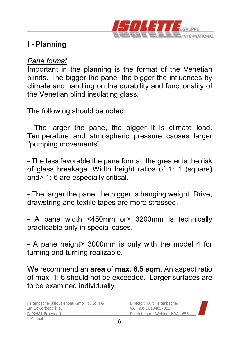

#### *Pane format*

Important in the planning is the format of the Venetian blinds. The bigger the pane, the bigger the influences by climate and handling on the durability and functionality of the Venetian blind insulating glass.

The following should be noted:

- The larger the pane, the bigger it is climate load. Temperature and atmospheric pressure causes larger "pumping movements".

- The less favorable the pane format, the greater is the risk of glass breakage. Width height ratios of 1: 1 (square) and> 1: 6 are especially critical.

- The larger the pane, the bigger is hanging weight. Drive, drawstring and textile tapes are more stressed.

- A pane width <450mm or> 3200mm is technically practicable only in special cases.

- A pane height> 3000mm is only with the model 4 for turning and turning realizable.

We recommend an **area** of **max. 6.5 sqm**. An aspect ratio of max. 1: 6 should not be exceeded. Larger surfaces are to be examined individually.

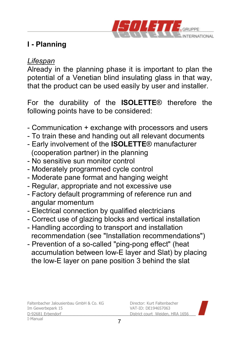

#### *Lifespan*

Already in the planning phase it is important to plan the potential of a Venetian blind insulating glass in that way, that the product can be used easily by user and installer.

For the durability of the **ISOLETTE**® therefore the following points have to be considered:

- Communication + exchange with processors and users
- To train these and handing out all relevant documents
- Early involvement of the **ISOLETTE**® manufacturer (cooperation partner) in the planning
- No sensitive sun monitor control
- Moderately programmed cycle control
- Moderate pane format and hanging weight
- Regular, appropriate and not excessive use
- Factory default programming of reference run and angular momentum
- Electrical connection by qualified electricians
- Correct use of glazing blocks and vertical installation
- Handling according to transport and installation recommendation (see "Installation recommendations")
- Prevention of a so-called "ping-pong effect" (heat accumulation between low-E layer and Slat) by placing the low-E layer on pane position 3 behind the slat

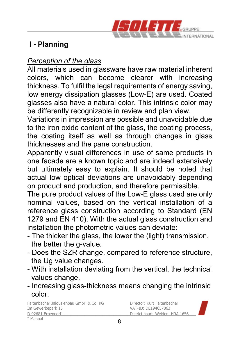

#### *Perception of the glass*

All materials used in glassware have raw material inherent colors, which can become clearer with increasing thickness. To fulfil the legal requirements of energy saving, low energy dissipation glasses (Low-E) are used. Coated glasses also have a natural color. This intrinsic color may be differently recognizable in review and plan view.

Variations in impression are possible and unavoidable,due to the iron oxide content of the glass, the coating process, the coating itself as well as through changes in glass thicknesses and the pane construction.

Apparently visual differences in use of same products in one facade are a known topic and are indeed extensively but ultimately easy to explain. It should be noted that actual low optical deviations are unavoidably depending on product and production, and therefore permissible.

The pure product values of the Low-E glass used are only nominal values, based on the vertical installation of a reference glass construction according to Standard (EN 1279 and EN 410). With the actual glass construction and installation the photometric values can deviate:

- The thicker the glass, the lower the (light) transmission, the better the g-value.
- Does the SZR change, compared to reference structure, the Ug value changes.
- With installation deviating from the vertical, the technical values change.
- Increasing glass-thickness means changing the intrinsic color.

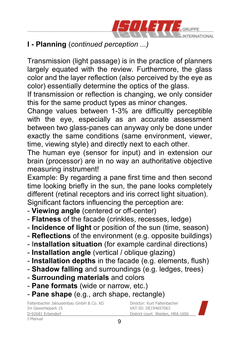

## **I - Planning** (*continued perception ...)*

Transmission (light passage) is in the practice of planners largely equated with the review. Furthermore, the glass color and the layer reflection (also perceived by the eye as color) essentially determine the optics of the glass.

If transmission or reflection is changing, we only consider this for the same product types as minor changes.

Change values between 1-3% are difficultly perceptible with the eye, especially as an accurate assessment between two glass-panes can anyway only be done under exactly the same conditions (same environment, viewer, time, viewing style) and directly next to each other.

The human eye (sensor for input) and in extension our brain (processor) are in no way an authoritative objective measuring instrument!

Example: By regarding a pane first time and then second time looking briefly in the sun, the pane looks completely different (retinal receptors and iris correct light situation).

Significant factors influencing the perception are:

- **Viewing angle** (centered or off-center)
- **Flatness** of the facade (crinkles, recesses, ledge)
- - **Incidence of light** or position of the sun (time, season)
- **Reflections** of the environment (e.g. opposite buildings)
- I**nstallation situation** (for example cardinal directions)
- **Installation angle** (vertical / oblique glazing)
- **Installation depths** in the facade (e.g. elements, flush)
- **Shadow falling** and surroundings (e.g. ledges, trees)
- **Surrounding materials** and colors
- **Pane formats** (wide or narrow, etc.)
- **Pane shape** (e.g., arch shape, rectangle)

Faltenbacher Jalousienbau GmbH & Co. KG<br>Im Gewerbenark 15<br>
Director: DE194657063 D-92681 Erbendorf District court Weiden, HRA 1656 \_\_\_\_\_\_\_\_\_\_\_\_\_\_\_\_\_\_\_\_\_\_\_\_\_\_\_\_\_\_\_\_\_\_\_\_\_\_\_\_\_\_\_\_\_\_\_ I-Manual

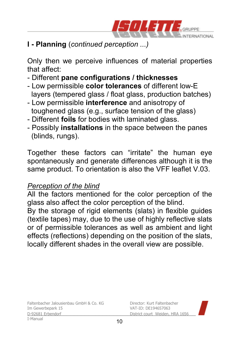

## **I - Planning** (*continued perception ...)*

Only then we perceive influences of material properties that affect:

- Different **pane configurations / thicknesses**
- Low permissible **color tolerances** of different low-E layers (tempered glass / float glass, production batches)
- Low permissible **interference** and anisotropy of toughened glass (e.g., surface tension of the glass)
- Different **foils** for bodies with laminated glass.
- Possibly **installations** in the space between the panes (blinds, rungs).

Together these factors can "irritate" the human eye spontaneously and generate differences although it is the same product. To orientation is also the VFF leaflet V.03.

### *Perception of the blind*

All the factors mentioned for the color perception of the glass also affect the color perception of the blind.

By the storage of rigid elements (slats) in flexible guides (textile tapes) may, due to the use of highly reflective slats or of permissible tolerances as well as ambient and light effects (reflections) depending on the position of the slats, locally different shades in the overall view are possible.

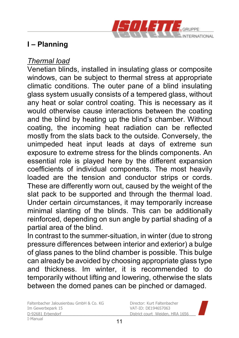

#### *Thermal load*

Venetian blinds, installed in insulating glass or composite windows, can be subject to thermal stress at appropriate climatic conditions. The outer pane of a blind insulating glass system usually consists of a tempered glass, without any heat or solar control coating. This is necessary as it would otherwise cause interactions between the coating and the blind by heating up the blind's chamber. Without coating, the incoming heat radiation can be reflected mostly from the slats back to the outside. Conversely, the unimpeded heat input leads at days of extreme sun exposure to extreme stress for the blinds components. An essential role is played here by the different expansion coefficients of individual components. The most heavily loaded are the tension and conductor strips or cords. These are differently worn out, caused by the weight of the slat pack to be supported and through the thermal load. Under certain circumstances, it may temporarily increase minimal slanting of the blinds. This can be additionally reinforced, depending on sun angle by partial shading of a partial area of the blind.

In contrast to the summer-situation, in winter (due to strong pressure differences between interior and exterior) a bulge of glass panes to the blind chamber is possible. This bulge can already be avoided by choosing appropriate glass type and thickness. Im winter, it is recommended to do temporarily without lifting and lowering, otherwise the slats between the domed panes can be pinched or damaged.

Faltenbacher Jalousienbau GmbH & Co. KG Director: Kurt Faltenbacher<br>Im Gewerbenark 15 D-92681 Erbendorf District court Weiden, HRA 1656 \_\_\_\_\_\_\_\_\_\_\_\_\_\_\_\_\_\_\_\_\_\_\_\_\_\_\_\_\_\_\_\_\_\_\_\_\_\_\_\_\_\_\_\_\_\_\_ I-Manual

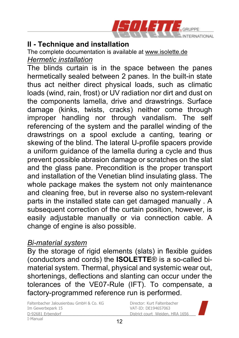

The complete documentation is available at www.isolette.de *Hermetic installation* 

The blinds curtain is in the space between the panes hermetically sealed between 2 panes. In the built-in state thus act neither direct physical loads, such as climatic loads (wind, rain, frost) or UV radiation nor dirt and dust on the components lamella, drive and drawstrings. Surface damage (kinks, twists, cracks) neither come through improper handling nor through vandalism. The self referencing of the system and the parallel winding of the drawstrings on a spool exclude a canting, tearing or skewing of the blind. The lateral U-profile spacers provide a uniform guidance of the lamella during a cycle and thus prevent possible abrasion damage or scratches on the slat and the glass pane. Precondition is the proper transport and installation of the Venetian blind insulating glass. The whole package makes the system not only maintenance and cleaning free, but in reverse also no system-relevant parts in the installed state can get damaged manually . A subsequent correction of the curtain position, however, is easily adjustable manually or via connection cable. A change of engine is also possible.

#### *Bi-material system*

By the storage of rigid elements (slats) in flexible guides (conductors and cords) the **ISOLETTE**® is a so-called bimaterial system. Thermal, physical and systemic wear out, shortenings, deflections and slanting can occur under the tolerances of the VE07-Rule (IFT). To compensate, a factory-programmed reference run is performed.

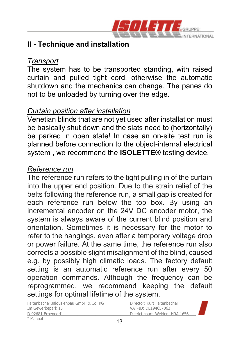

#### *Transport*

The system has to be transported standing, with raised curtain and pulled tight cord, otherwise the automatic shutdown and the mechanics can change. The panes do not to be unloaded by turning over the edge.

#### *Curtain position after installation*

Venetian blinds that are not yet used after installation must be basically shut down and the slats need to (horizontally) be parked in open state! In case an on-site test run is planned before connection to the object-internal electrical system , we recommend the **ISOLETTE**® testing device.

#### *Reference run*

The reference run refers to the tight pulling in of the curtain into the upper end position. Due to the strain relief of the belts following the reference run, a small gap is created for each reference run below the top box. By using an incremental encoder on the 24V DC encoder motor, the system is always aware of the current blind position and orientation. Sometimes it is necessary for the motor to refer to the hangings, even after a temporary voltage drop or power failure. At the same time, the reference run also corrects a possible slight misalignment of the blind, caused e.g. by possibly high climatic loads. The factory default setting is an automatic reference run after every 50 operation commands. Although the frequency can be reprogrammed, we recommend keeping the default settings for optimal lifetime of the system.

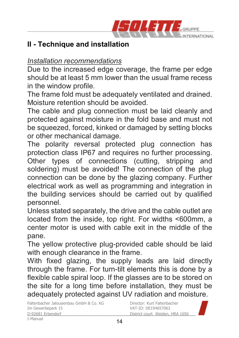

#### *Installation recommendations*

Due to the increased edge coverage, the frame per edge should be at least 5 mm lower than the usual frame recess in the window profile.

The frame fold must be adequately ventilated and drained. Moisture retention should be avoided.

The cable and plug connection must be laid cleanly and protected against moisture in the fold base and must not be squeezed, forced, kinked or damaged by setting blocks or other mechanical damage.

The polarity reversal protected plug connection has protection class IP67 and requires no further processing. Other types of connections (cutting, stripping and soldering) must be avoided! The connection of the plug connection can be done by the glazing company. Further electrical work as well as programming and integration in the building services should be carried out by qualified personnel.

Unless stated separately, the drive and the cable outlet are located from the inside, top right. For widths <600mm, a center motor is used with cable exit in the middle of the pane.

The yellow protective plug-provided cable should be laid with enough clearance in the frame.

With fixed glazing, the supply leads are laid directly through the frame. For turn-tilt elements this is done by a flexible cable spiral loop. If the glasses are to be stored on the site for a long time before installation, they must be adequately protected against UV radiation and moisture.

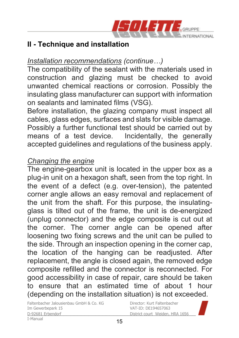

#### *Installation recommendations (continue…)*

The compatibility of the sealant with the materials used in construction and glazing must be checked to avoid unwanted chemical reactions or corrosion. Possibly the insulating glass manufacturer can support with information on sealants and laminated films (VSG).

Before installation, the glazing company must inspect all cables, glass edges, surfaces and slats for visible damage. Possibly a further functional test should be carried out by means of a test device. Incidentally, the generally Incidentally, the generally accepted guidelines and regulations of the business apply.

#### *Changing the engine*

The engine-gearbox unit is located in the upper box as a plug-in unit on a hexagon shaft, seen from the top right. In the event of a defect (e.g. over-tension), the patented corner angle allows an easy removal and replacement of the unit from the shaft. For this purpose, the insulatingglass is tilted out of the frame, the unit is de-energized (unplug connector) and the edge composite is cut out at the corner. The corner angle can be opened after loosening two fixing screws and the unit can be pulled to the side. Through an inspection opening in the corner cap, the location of the hanging can be readjusted. After replacement, the angle is closed again, the removed edge composite refilled and the connector is reconnected. For good accessibility in case of repair, care should be taken to ensure that an estimated time of about 1 hour (depending on the installation situation) is not exceeded.

Faltenbacher Jalousienbau GmbH & Co. KG<br>Im Gewerbenark 15<br>
Director: DE194657063 D-92681 Erbendorf District court Weiden, HRA 1656 \_\_\_\_\_\_\_\_\_\_\_\_\_\_\_\_\_\_\_\_\_\_\_\_\_\_\_\_\_\_\_\_\_\_\_\_\_\_\_\_\_\_\_\_\_\_\_

I-Manual

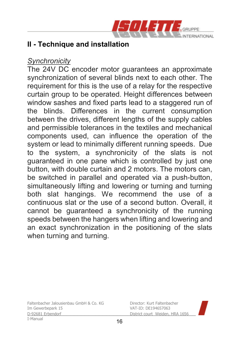

#### *Synchronicity*

The 24V DC encoder motor guarantees an approximate synchronization of several blinds next to each other. The requirement for this is the use of a relay for the respective curtain group to be operated. Height differences between window sashes and fixed parts lead to a staggered run of the blinds. Differences in the current consumption between the drives, different lengths of the supply cables and permissible tolerances in the textiles and mechanical components used, can influence the operation of the system or lead to minimally different running speeds. Due to the system, a synchronicity of the slats is not guaranteed in one pane which is controlled by just one button, with double curtain and 2 motors. The motors can, be switched in parallel and operated via a push-button, simultaneously lifting and lowering or turning and turning both slat hangings. We recommend the use of a continuous slat or the use of a second button. Overall, it cannot be guaranteed a synchronicity of the running speeds between the hangers when lifting and lowering and an exact synchronization in the positioning of the slats when turning and turning.

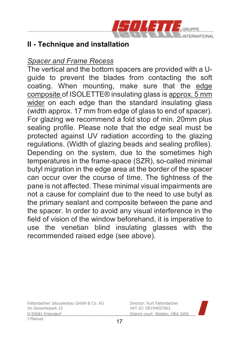

#### *Spacer and Frame Recess*

The vertical and the bottom spacers are provided with a Uguide to prevent the blades from contacting the soft coating. When mounting, make sure that the edge composite of ISOLETTE® insulating glass is approx. 5 mm wider on each edge than the standard insulating glass (width approx. 17 mm from edge of glass to end of spacer). For glazing we recommend a fold stop of min. 20mm plus sealing profile. Please note that the edge seal must be protected against UV radiation according to the glazing regulations. (Width of glazing beads and sealing profiles). Depending on the system, due to the sometimes high temperatures in the frame-space (SZR), so-called minimal butyl migration in the edge area at the border of the spacer can occur over the course of time. The tightness of the pane is not affected. These minimal visual impairments are not a cause for complaint due to the need to use butyl as the primary sealant and composite between the pane and the spacer. In order to avoid any visual interference in the field of vision of the window beforehand, it is imperative to use the venetian blind insulating glasses with the recommended raised edge (see above).

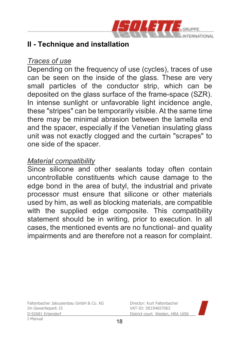

#### *Traces of use*

Depending on the frequency of use (cycles), traces of use can be seen on the inside of the glass. These are very small particles of the conductor strip, which can be deposited on the glass surface of the frame-space (SZR). In intense sunlight or unfavorable light incidence angle, these "stripes" can be temporarily visible. At the same time there may be minimal abrasion between the lamella end and the spacer, especially if the Venetian insulating glass unit was not exactly clogged and the curtain "scrapes" to one side of the spacer.

#### *Material compatibility*

Since silicone and other sealants today often contain uncontrollable constituents which cause damage to the edge bond in the area of butyl, the industrial and private processor must ensure that silicone or other materials used by him, as well as blocking materials, are compatible with the supplied edge composite. This compatibility statement should be in writing, prior to execution. In all cases, the mentioned events are no functional- and quality impairments and are therefore not a reason for complaint.

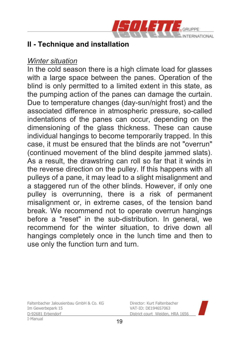

#### *Winter situation*

In the cold season there is a high climate load for glasses with a large space between the panes. Operation of the blind is only permitted to a limited extent in this state, as the pumping action of the panes can damage the curtain. Due to temperature changes (day-sun/night frost) and the associated difference in atmospheric pressure, so-called indentations of the panes can occur, depending on the dimensioning of the glass thickness. These can cause individual hangings to become temporarily trapped. In this case, it must be ensured that the blinds are not "overrun" (continued movement of the blind despite jammed slats). As a result, the drawstring can roll so far that it winds in the reverse direction on the pulley. If this happens with all pulleys of a pane, it may lead to a slight misalignment and a staggered run of the other blinds. However, if only one pulley is overrunning, there is a risk of permanent misalignment or, in extreme cases, of the tension band break. We recommend not to operate overrun hangings before a "reset" in the sub-distribution. In general, we recommend for the winter situation, to drive down all hangings completely once in the lunch time and then to use only the function turn and turn.

Faltenbacher Jalousienbau GmbH & Co. KG Director: Kurt Faltenbacher<br>Im Gewerbenark 15 D-92681 Erbendorf District court Weiden, HRA 1656 \_\_\_\_\_\_\_\_\_\_\_\_\_\_\_\_\_\_\_\_\_\_\_\_\_\_\_\_\_\_\_\_\_\_\_\_\_\_\_\_\_\_\_\_\_\_\_ I-Manual

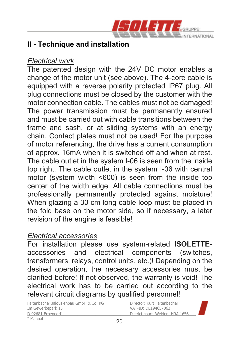

#### *Electrical work*

The patented design with the 24V DC motor enables a change of the motor unit (see above). The 4-core cable is equipped with a reverse polarity protected IP67 plug. All plug connections must be closed by the customer with the motor connection cable. The cables must not be damaged! The power transmission must be permanently ensured and must be carried out with cable transitions between the frame and sash, or at sliding systems with an energy chain. Contact plates must not be used! For the purpose of motor referencing, the drive has a current consumption of approx. 16mA when it is switched off and when at rest. The cable outlet in the system I-06 is seen from the inside top right. The cable outlet in the system I-06 with central motor (system width <600) is seen from the inside top center of the width edge. All cable connections must be professionally permanently protected against moisture! When glazing a 30 cm long cable loop must be placed in the fold base on the motor side, so if necessary, a later revision of the engine is feasible!

#### *Electrical accessories*

For installation please use system-related **ISOLETTE**accessories and electrical components (switches, transformers, relays, control units, etc.)! Depending on the desired operation, the necessary accessories must be clarified before! If not observed, the warranty is void! The electrical work has to be carried out according to the relevant circuit diagrams by qualified personnel!

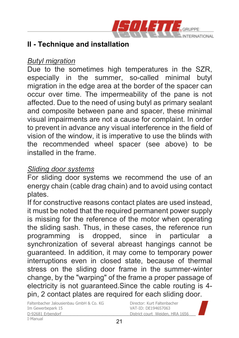

#### *Butyl migration*

Due to the sometimes high temperatures in the SZR, especially in the summer, so-called minimal butyl migration in the edge area at the border of the spacer can occur over time. The impermeability of the pane is not affected. Due to the need of using butyl as primary sealant and composite between pane and spacer, these minimal visual impairments are not a cause for complaint. In order to prevent in advance any visual interference in the field of vision of the window, it is imperative to use the blinds with the recommended wheel spacer (see above) to be installed in the frame.

#### *Sliding door systems*

For sliding door systems we recommend the use of an energy chain (cable drag chain) and to avoid using contact plates.

If for constructive reasons contact plates are used instead, it must be noted that the required permanent power supply is missing for the reference of the motor when operating the sliding sash. Thus, in these cases, the reference run programming is dropped, since in particular a synchronization of several abreast hangings cannot be guaranteed. In addition, it may come to temporary power interruptions even in closed state, because of thermal stress on the sliding door frame in the summer-winter change, by the "warping" of the frame a proper passage of electricity is not guaranteed.Since the cable routing is 4 pin, 2 contact plates are required for each sliding door.

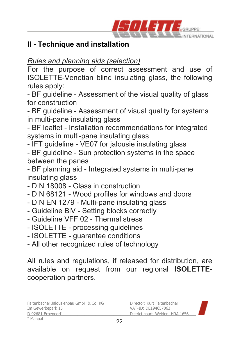

*Rules and planning aids (selection)* 

For the purpose of correct assessment and use of ISOLETTE-Venetian blind insulating glass, the following rules apply:

- BF guideline - Assessment of the visual quality of glass for construction

- BF guideline - Assessment of visual quality for systems in multi-pane insulating glass

- BF leaflet - Installation recommendations for integrated systems in multi-pane insulating glass

- IFT guideline - VE07 for jalousie insulating glass

- BF guideline - Sun protection systems in the space between the panes

- BF planning aid - Integrated systems in multi-pane insulating glass

- DIN 18008 Glass in construction
- DIN 68121 Wood profiles for windows and doors
- DIN EN 1279 Multi-pane insulating glass
- Guideline BiV Setting blocks correctly
- Guideline VFF 02 Thermal stress
- ISOLETTE processing guidelines
- ISOLETTE guarantee conditions
- All other recognized rules of technology

All rules and regulations, if released for distribution, are available on request from our regional **ISOLETTE**cooperation partners.

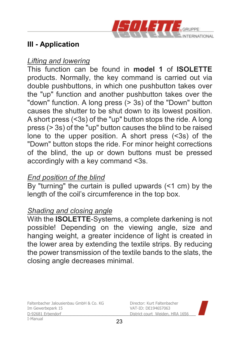

#### *Lifting and lowering*

This function can be found in **model 1** of **ISOLETTE**  products. Normally, the key command is carried out via double pushbuttons, in which one pushbutton takes over the "up" function and another pushbutton takes over the "down" function. A long press (> 3s) of the "Down" button causes the shutter to be shut down to its lowest position. A short press (<3s) of the "up" button stops the ride. A long press (> 3s) of the "up" button causes the blind to be raised lone to the upper position. A short press (<3s) of the "Down" button stops the ride. For minor height corrections of the blind, the up or down buttons must be pressed accordingly with a key command <3s.

#### *End position of the blind*

By "turning" the curtain is pulled upwards (<1 cm) by the length of the coil's circumference in the top box.

#### *Shading and closing angle*

With the **ISOLETTE**-Systems, a complete darkening is not possible! Depending on the viewing angle, size and hanging weight, a greater incidence of light is created in the lower area by extending the textile strips. By reducing the power transmission of the textile bands to the slats, the closing angle decreases minimal.

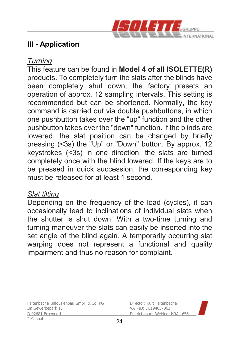

#### *Turning*

This feature can be found in **Model 4 of all ISOLETTE(R)** products. To completely turn the slats after the blinds have been completely shut down, the factory presets an operation of approx. 12 sampling intervals. This setting is recommended but can be shortened. Normally, the key command is carried out via double pushbuttons, in which one pushbutton takes over the "up" function and the other pushbutton takes over the "down" function. If the blinds are lowered, the slat position can be changed by briefly pressing (<3s) the "Up" or "Down" button. By approx. 12 keystrokes (<3s) in one direction, the slats are turned completely once with the blind lowered. If the keys are to be pressed in quick succession, the corresponding key must be released for at least 1 second.

#### *Slat tilting*

Depending on the frequency of the load (cycles), it can occasionally lead to inclinations of individual slats when the shutter is shut down. With a two-time turning and turning maneuver the slats can easily be inserted into the set angle of the blind again. A temporarily occurring slat warping does not represent a functional and quality impairment and thus no reason for complaint.

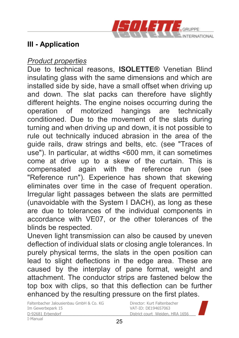

#### *Product properties*

Due to technical reasons, **ISOLETTE®** Venetian Blind insulating glass with the same dimensions and which are installed side by side, have a small offset when driving up and down. The slat packs can therefore have slightly different heights. The engine noises occurring during the operation of motorized hangings are technically conditioned. Due to the movement of the slats during turning and when driving up and down, it is not possible to rule out technically induced abrasion in the area of the guide rails, draw strings and belts, etc. (see "Traces of use"). In particular, at widths <600 mm, it can sometimes come at drive up to a skew of the curtain. This is compensated again with the reference run (see "Reference run"). Experience has shown that skewing eliminates over time in the case of frequent operation. Irregular light passages between the slats are permitted (unavoidable with the System I DACH), as long as these are due to tolerances of the individual components in accordance with VE07, or the other tolerances of the blinds be respected.

Uneven light transmission can also be caused by uneven deflection of individual slats or closing angle tolerances. In purely physical terms, the slats in the open position can lead to slight deflections in the edge area. These are caused by the interplay of pane format, weight and attachment. The conductor strips are fastened below the top box with clips, so that this deflection can be further enhanced by the resulting pressure on the first plates.

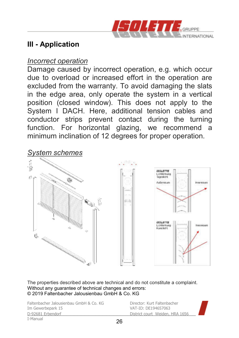

#### *Incorrect operation*

Damage caused by incorrect operation, e.g. which occur due to overload or increased effort in the operation are excluded from the warranty. To avoid damaging the slats in the edge area, only operate the system in a vertical position (closed window). This does not apply to the System I DACH. Here, additional tension cables and conductor strips prevent contact during the turning function. For horizontal glazing, we recommend a minimum inclination of 12 degrees for proper operation.



The properties described above are technical and do not constitute a complaint. Without any guarantee of technical changes and errors: © 2019 Faltenbacher Jalousienbau GmbH & Co. KG

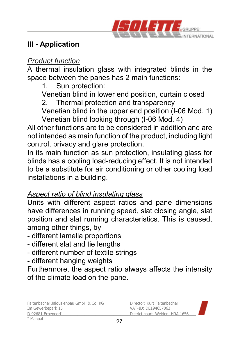

#### *Product function*

A thermal insulation glass with integrated blinds in the space between the panes has 2 main functions:

1. Sun protection:

Venetian blind in lower end position, curtain closed

2. Thermal protection and transparency

Venetian blind in the upper end position (I-06 Mod. 1) Venetian blind looking through (I-06 Mod. 4)

All other functions are to be considered in addition and are not intended as main function of the product, including light control, privacy and glare protection.

In its main function as sun protection, insulating glass for blinds has a cooling load-reducing effect. It is not intended to be a substitute for air conditioning or other cooling load installations in a building.

### *Aspect ratio of blind insulating glass*

Units with different aspect ratios and pane dimensions have differences in running speed, slat closing angle, slat position and slat running characteristics. This is caused, among other things, by

- different lamella proportions
- different slat and tie lengths
- different number of textile strings
- different hanging weights

Furthermore, the aspect ratio always affects the intensity of the climate load on the pane.

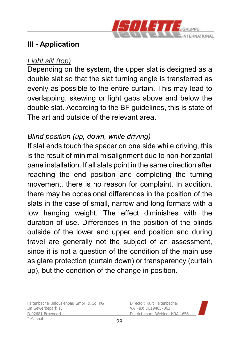

#### *Light slit (top)*

Depending on the system, the upper slat is designed as a double slat so that the slat turning angle is transferred as evenly as possible to the entire curtain. This may lead to overlapping, skewing or light gaps above and below the double slat. According to the BF guidelines, this is state of The art and outside of the relevant area.

#### *Blind position (up, down, while driving)*

If slat ends touch the spacer on one side while driving, this is the result of minimal misalignment due to non-horizontal pane installation. If all slats point in the same direction after reaching the end position and completing the turning movement, there is no reason for complaint. In addition, there may be occasional differences in the position of the slats in the case of small, narrow and long formats with a low hanging weight. The effect diminishes with the duration of use. Differences in the position of the blinds outside of the lower and upper end position and during travel are generally not the subject of an assessment, since it is not a question of the condition of the main use as glare protection (curtain down) or transparency (curtain up), but the condition of the change in position.

Faltenbacher Jalousienbau GmbH & Co. KG Director: Kurt Faltenbacher<br>Im Gewerbenark 15 D-92681 Erbendorf District court Weiden, HRA 1656 \_\_\_\_\_\_\_\_\_\_\_\_\_\_\_\_\_\_\_\_\_\_\_\_\_\_\_\_\_\_\_\_\_\_\_\_\_\_\_\_\_\_\_\_\_\_\_ I-Manual

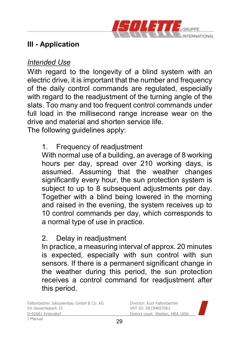

#### *Intended Use*

With regard to the longevity of a blind system with an electric drive, it is important that the number and frequency of the daily control commands are regulated, especially with regard to the readjustment of the turning angle of the slats. Too many and too frequent control commands under full load in the millisecond range increase wear on the drive and material and shorten service life.

The following guidelines apply:

### 1. Frequency of readjustment

With normal use of a building, an average of 8 working hours per day, spread over 210 working days, is assumed. Assuming that the weather changes significantly every hour, the sun protection system is subject to up to 8 subsequent adjustments per day. Together with a blind being lowered in the morning and raised in the evening, the system receives up to 10 control commands per day, which corresponds to a normal type of use in practice.

#### 2. Delay in readjustment

In practice, a measuring interval of approx. 20 minutes is expected, especially with sun control with sun sensors. If there is a permanent significant change in the weather during this period, the sun protection receives a control command for readjustment after this period.

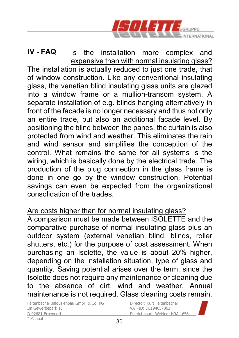

Is the installation more complex and expensive than with normal insulating glass? The installation is actually reduced to just one trade, that of window construction. Like any conventional insulating glass, the venetian blind insulating glass units are glazed into a window frame or a mullion-transom system. A separate installation of e.g. blinds hanging alternatively in front of the facade is no longer necessary and thus not only an entire trade, but also an additional facade level. By positioning the blind between the panes, the curtain is also protected from wind and weather. This eliminates the rain and wind sensor and simplifies the conception of the control. What remains the same for all systems is the wiring, which is basically done by the electrical trade. The production of the plug connection in the glass frame is done in one go by the window construction. Potential savings can even be expected from the organizational consolidation of the trades. **IV - FAQ**

#### Are costs higher than for normal insulating glass?

A comparison must be made between ISOLETTE and the comparative purchase of normal insulating glass plus an outdoor system (external venetian blind, blinds, roller shutters, etc.) for the purpose of cost assessment. When purchasing an Isolette, the value is about 20% higher, depending on the installation situation, type of glass and quantity. Saving potential arises over the term, since the Isolette does not require any maintenance or cleaning due to the absence of dirt, wind and weather. Annual maintenance is not required. Glass cleaning costs remain.

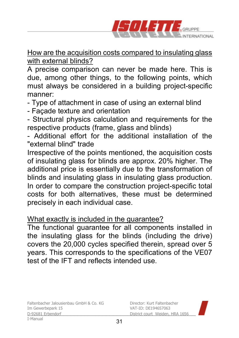

How are the acquisition costs compared to insulating glass with external blinds?

A precise comparison can never be made here. This is due, among other things, to the following points, which must always be considered in a building project-specific manner:

- Type of attachment in case of using an external blind

- Façade texture and orientation

- Structural physics calculation and requirements for the respective products (frame, glass and blinds)

- Additional effort for the additional installation of the "external blind" trade

Irrespective of the points mentioned, the acquisition costs of insulating glass for blinds are approx. 20% higher. The additional price is essentially due to the transformation of blinds and insulating glass in insulating glass production. In order to compare the construction project-specific total costs for both alternatives, these must be determined precisely in each individual case.

#### What exactly is included in the guarantee?

The functional guarantee for all components installed in the insulating glass for the blinds (including the drive) covers the 20,000 cycles specified therein, spread over 5 years. This corresponds to the specifications of the VE07 test of the IFT and reflects intended use.

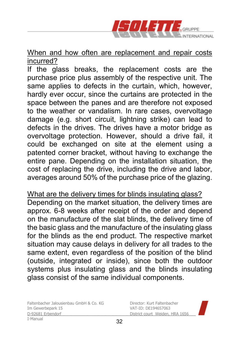

When and how often are replacement and repair costs incurred?

If the glass breaks, the replacement costs are the purchase price plus assembly of the respective unit. The same applies to defects in the curtain, which, however, hardly ever occur, since the curtains are protected in the space between the panes and are therefore not exposed to the weather or vandalism. In rare cases, overvoltage damage (e.g. short circuit, lightning strike) can lead to defects in the drives. The drives have a motor bridge as overvoltage protection. However, should a drive fail, it could be exchanged on site at the element using a patented corner bracket, without having to exchange the entire pane. Depending on the installation situation, the cost of replacing the drive, including the drive and labor, averages around 50% of the purchase price of the glazing.

What are the delivery times for blinds insulating glass? Depending on the market situation, the delivery times are approx. 6-8 weeks after receipt of the order and depend on the manufacture of the slat blinds, the delivery time of the basic glass and the manufacture of the insulating glass for the blinds as the end product. The respective market situation may cause delays in delivery for all trades to the same extent, even regardless of the position of the blind (outside, integrated or inside), since both the outdoor systems plus insulating glass and the blinds insulating glass consist of the same individual components.

Faltenbacher Jalousienbau GmbH & Co. KG<br>Im Gewerbenark 15<br>
Director: DE194657063 D-92681 Erbendorf District court Weiden, HRA 1656 \_\_\_\_\_\_\_\_\_\_\_\_\_\_\_\_\_\_\_\_\_\_\_\_\_\_\_\_\_\_\_\_\_\_\_\_\_\_\_\_\_\_\_\_\_\_\_ I-Manual

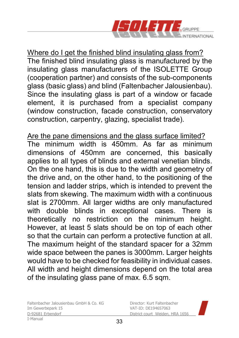

Where do I get the finished blind insulating glass from? The finished blind insulating glass is manufactured by the insulating glass manufacturers of the ISOLETTE Group (cooperation partner) and consists of the sub-components glass (basic glass) and blind (Faltenbacher Jalousienbau). Since the insulating glass is part of a window or facade element, it is purchased from a specialist company (window construction, facade construction, conservatory construction, carpentry, glazing, specialist trade).

Are the pane dimensions and the glass surface limited? The minimum width is 450mm. As far as minimum dimensions of 450mm are concerned, this basically applies to all types of blinds and external venetian blinds. On the one hand, this is due to the width and geometry of the drive and, on the other hand, to the positioning of the tension and ladder strips, which is intended to prevent the slats from skewing. The maximum width with a continuous slat is 2700mm. All larger widths are only manufactured with double blinds in exceptional cases. There is theoretically no restriction on the minimum height. However, at least 5 slats should be on top of each other so that the curtain can perform a protective function at all. The maximum height of the standard spacer for a 32mm wide space between the panes is 3000mm. Larger heights would have to be checked for feasibility in individual cases. All width and height dimensions depend on the total area of the insulating glass pane of max. 6.5 sqm.

Faltenbacher Jalousienbau GmbH & Co. KG Director: Kurt Faltenbacher<br>Im Gewerbenark 15 D-92681 Erbendorf District court Weiden, HRA 1656 \_\_\_\_\_\_\_\_\_\_\_\_\_\_\_\_\_\_\_\_\_\_\_\_\_\_\_\_\_\_\_\_\_\_\_\_\_\_\_\_\_\_\_\_\_\_\_ I-Manual

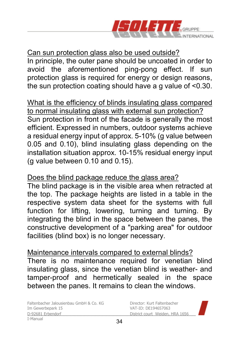

Can sun protection glass also be used outside? In principle, the outer pane should be uncoated in order to avoid the aforementioned ping-pong effect. If sun protection glass is required for energy or design reasons, the sun protection coating should have a g value of <0.30.

What is the efficiency of blinds insulating glass compared to normal insulating glass with external sun protection? Sun protection in front of the facade is generally the most efficient. Expressed in numbers, outdoor systems achieve a residual energy input of approx. 5-10% (g value between 0.05 and 0.10), blind insulating glass depending on the installation situation approx. 10-15% residual energy input (g value between 0.10 and 0.15).

#### Does the blind package reduce the glass area?

The blind package is in the visible area when retracted at the top. The package heights are listed in a table in the respective system data sheet for the systems with full function for lifting, lowering, turning and turning. By integrating the blind in the space between the panes, the constructive development of a "parking area" for outdoor facilities (blind box) is no longer necessary.

#### Maintenance intervals compared to external blinds?

There is no maintenance required for venetian blind insulating glass, since the venetian blind is weather- and tamper-proof and hermetically sealed in the space between the panes. It remains to clean the windows.

Faltenbacher Jalousienbau GmbH & Co. KG Director: Kurt Faltenbacher<br>Im Gewerbenark 15 D-92681 Erbendorf District court Weiden, HRA 1656 \_\_\_\_\_\_\_\_\_\_\_\_\_\_\_\_\_\_\_\_\_\_\_\_\_\_\_\_\_\_\_\_\_\_\_\_\_\_\_\_\_\_\_\_\_\_\_ I-Manual

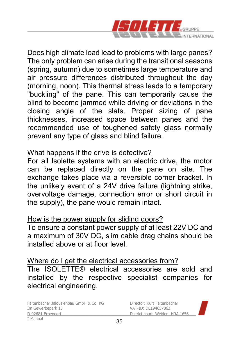

Does high climate load lead to problems with large panes? The only problem can arise during the transitional seasons (spring, autumn) due to sometimes large temperature and air pressure differences distributed throughout the day (morning, noon). This thermal stress leads to a temporary "buckling" of the pane. This can temporarily cause the blind to become jammed while driving or deviations in the closing angle of the slats. Proper sizing of pane thicknesses, increased space between panes and the recommended use of toughened safety glass normally prevent any type of glass and blind failure.

#### What happens if the drive is defective?

For all Isolette systems with an electric drive, the motor can be replaced directly on the pane on site. The exchange takes place via a reversible corner bracket. In the unlikely event of a 24V drive failure (lightning strike, overvoltage damage, connection error or short circuit in the supply), the pane would remain intact.

#### How is the power supply for sliding doors?

To ensure a constant power supply of at least 22V DC and a maximum of 30V DC, slim cable drag chains should be installed above or at floor level.

#### Where do I get the electrical accessories from?

The ISOLETTE® electrical accessories are sold and installed by the respective specialist companies for electrical engineering.

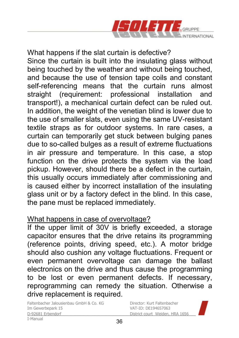

What happens if the slat curtain is defective? Since the curtain is built into the insulating glass without being touched by the weather and without being touched, and because the use of tension tape coils and constant self-referencing means that the curtain runs almost straight (requirement: professional installation and transport!), a mechanical curtain defect can be ruled out. In addition, the weight of the venetian blind is lower due to the use of smaller slats, even using the same UV-resistant textile straps as for outdoor systems. In rare cases, a curtain can temporarily get stuck between bulging panes due to so-called bulges as a result of extreme fluctuations in air pressure and temperature. In this case, a stop function on the drive protects the system via the load pickup. However, should there be a defect in the curtain, this usually occurs immediately after commissioning and is caused either by incorrect installation of the insulating glass unit or by a factory defect in the blind. In this case, the pane must be replaced immediately.

#### What happens in case of overvoltage?

If the upper limit of 30V is briefly exceeded, a storage capacitor ensures that the drive retains its programming (reference points, driving speed, etc.). A motor bridge should also cushion any voltage fluctuations. Frequent or even permanent overvoltage can damage the ballast electronics on the drive and thus cause the programming to be lost or even permanent defects. If necessary, reprogramming can remedy the situation. Otherwise a drive replacement is required.

Faltenbacher Jalousienbau GmbH & Co. KG<br>Im Gewerbenark 15<br>
Director: DE194657063 D-92681 Erbendorf District court Weiden, HRA 1656 \_\_\_\_\_\_\_\_\_\_\_\_\_\_\_\_\_\_\_\_\_\_\_\_\_\_\_\_\_\_\_\_\_\_\_\_\_\_\_\_\_\_\_\_\_\_\_ I-Manual

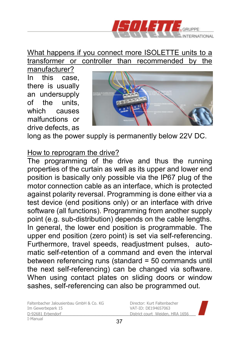

What happens if you connect more ISOLETTE units to a transformer or controller than recommended by the

manufacturer? In this case, there is usually an undersupply of the units, which causes malfunctions or drive defects, as



long as the power supply is permanently below 22V DC.

#### How to reprogram the drive?

The programming of the drive and thus the running properties of the curtain as well as its upper and lower end position is basically only possible via the IP67 plug of the motor connection cable as an interface, which is protected against polarity reversal. Programming is done either via a test device (end positions only) or an interface with drive software (all functions). Programming from another supply point (e.g. sub-distribution) depends on the cable lengths. In general, the lower end position is programmable. The upper end position (zero point) is set via self-referencing. Furthermore, travel speeds, readjustment pulses, automatic self-retention of a command and even the interval between referencing runs (standard = 50 commands until the next self-referencing) can be changed via software. When using contact plates on sliding doors or window sashes, self-referencing can also be programmed out.

Faltenbacher Jalousienbau GmbH & Co. KG Director: Kurt Faltenbacher<br>Im Gewerbenark 15 D-92681 Erbendorf District court Weiden, HRA 1656 \_\_\_\_\_\_\_\_\_\_\_\_\_\_\_\_\_\_\_\_\_\_\_\_\_\_\_\_\_\_\_\_\_\_\_\_\_\_\_\_\_\_\_\_\_\_\_ I-Manual

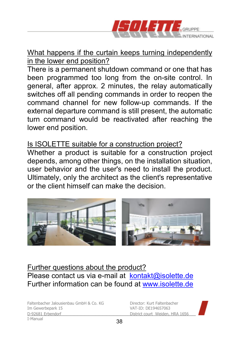

#### What happens if the curtain keeps turning independently in the lower end position?

There is a permanent shutdown command or one that has been programmed too long from the on-site control. In general, after approx. 2 minutes, the relay automatically switches off all pending commands in order to reopen the command channel for new follow-up commands. If the external departure command is still present, the automatic turn command would be reactivated after reaching the lower end position.

#### Is ISOLETTE suitable for a construction project?

Whether a product is suitable for a construction project depends, among other things, on the installation situation, user behavior and the user's need to install the product. Ultimately, only the architect as the client's representative or the client himself can make the decision.



#### Further questions about the product? Please contact us via e-mail at kontakt@isolette.de Further information can be found at www.isolette.de

Faltenbacher Jalousienbau GmbH & Co. KG Director: Kurt Faltenbacher<br>Im Gewerbenark 15 D-92681 Erbendorf District court Weiden, HRA 1656 \_\_\_\_\_\_\_\_\_\_\_\_\_\_\_\_\_\_\_\_\_\_\_\_\_\_\_\_\_\_\_\_\_\_\_\_\_\_\_\_\_\_\_\_\_\_\_ I-Manual